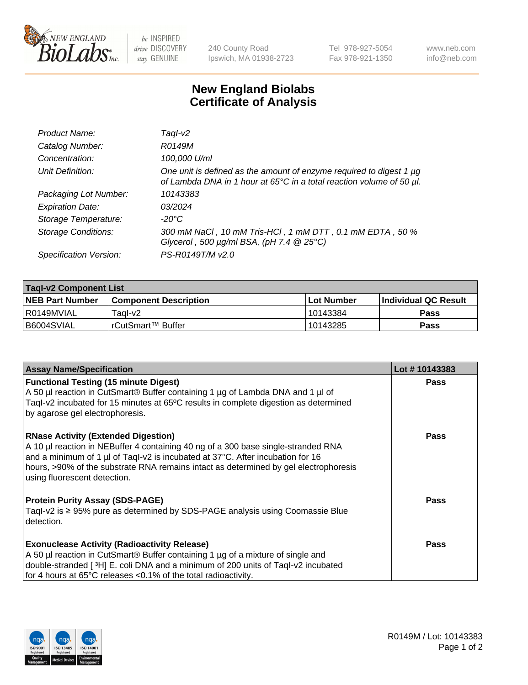

be INSPIRED drive DISCOVERY stay GENUINE

240 County Road Ipswich, MA 01938-2723 Tel 978-927-5054 Fax 978-921-1350 www.neb.com info@neb.com

## **New England Biolabs Certificate of Analysis**

| Product Name:              | Taql-v2                                                                                                                                                    |
|----------------------------|------------------------------------------------------------------------------------------------------------------------------------------------------------|
| Catalog Number:            | R0149M                                                                                                                                                     |
| Concentration:             | 100,000 U/ml                                                                                                                                               |
| Unit Definition:           | One unit is defined as the amount of enzyme required to digest 1 µg<br>of Lambda DNA in 1 hour at 65 $\degree$ C in a total reaction volume of 50 $\mu$ l. |
| Packaging Lot Number:      | 10143383                                                                                                                                                   |
| <b>Expiration Date:</b>    | 03/2024                                                                                                                                                    |
| Storage Temperature:       | -20°C                                                                                                                                                      |
| <b>Storage Conditions:</b> | 300 mM NaCl, 10 mM Tris-HCl, 1 mM DTT, 0.1 mM EDTA, 50 %<br>Glycerol, 500 $\mu$ g/ml BSA, (pH 7.4 $@$ 25°C)                                                |
| Specification Version:     | PS-R0149T/M v2.0                                                                                                                                           |

| <b>Tagl-v2 Component List</b> |                              |              |                             |  |  |
|-------------------------------|------------------------------|--------------|-----------------------------|--|--|
| <b>NEB Part Number</b>        | <b>Component Description</b> | l Lot Number | <b>Individual QC Result</b> |  |  |
| l R0149MVIAL                  | Taɑl-v2                      | 10143384     | Pass                        |  |  |
| I B6004SVIAL                  | !rCutSmart™ Buffer_          | 10143285     | Pass                        |  |  |

| <b>Assay Name/Specification</b>                                                                                                                                                                                                                                                                                                           | Lot #10143383 |
|-------------------------------------------------------------------------------------------------------------------------------------------------------------------------------------------------------------------------------------------------------------------------------------------------------------------------------------------|---------------|
| <b>Functional Testing (15 minute Digest)</b><br>A 50 µl reaction in CutSmart® Buffer containing 1 µg of Lambda DNA and 1 µl of<br>Tagl-v2 incubated for 15 minutes at 65°C results in complete digestion as determined<br>by agarose gel electrophoresis.                                                                                 | Pass          |
| <b>RNase Activity (Extended Digestion)</b><br>A 10 µl reaction in NEBuffer 4 containing 40 ng of a 300 base single-stranded RNA<br>and a minimum of 1 µl of Taql-v2 is incubated at 37°C. After incubation for 16<br>hours, >90% of the substrate RNA remains intact as determined by gel electrophoresis<br>using fluorescent detection. | <b>Pass</b>   |
| <b>Protein Purity Assay (SDS-PAGE)</b><br>Tagl-v2 is $\geq$ 95% pure as determined by SDS-PAGE analysis using Coomassie Blue<br>detection.                                                                                                                                                                                                | Pass          |
| <b>Exonuclease Activity (Radioactivity Release)</b><br>A 50 µl reaction in CutSmart® Buffer containing 1 µg of a mixture of single and<br>double-stranded [3H] E. coli DNA and a minimum of 200 units of Taql-v2 incubated<br>for 4 hours at 65°C releases <0.1% of the total radioactivity.                                              | Pass          |